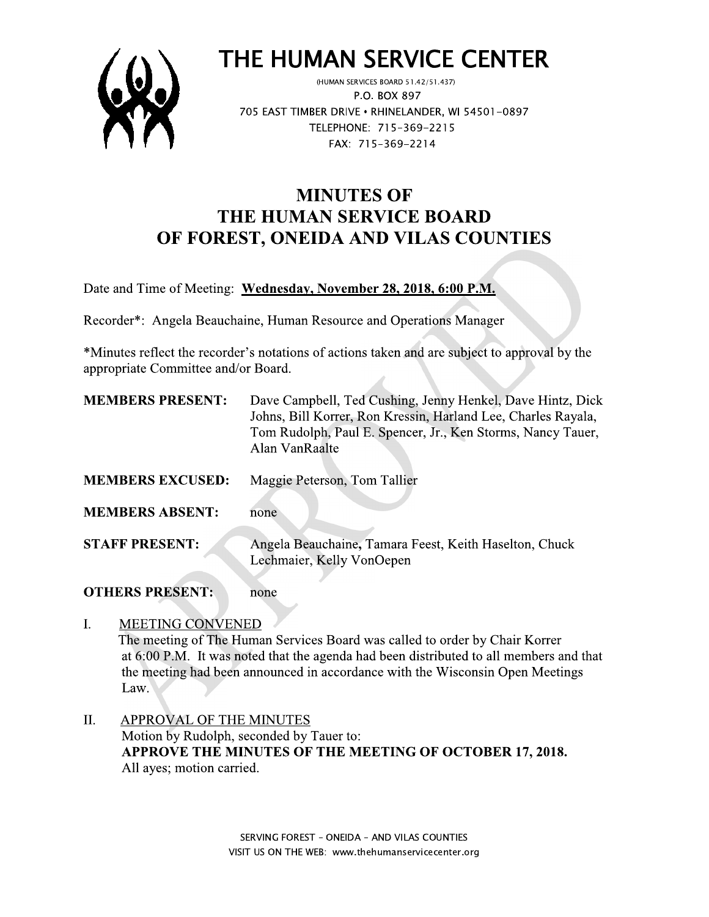

# THE HUMAN SERVICE CENTER

(HUMAN SERVICES BOARD 51.42/51.437) P.O. BOX 897 705 EAST TIMBER DRIVE . RHINELANDER, WI 54501-0897 TELEPHONE: 715-369-2215 FAX: 715-369-2214

## **MINUTES OF** THE HUMAN SERVICE BOARD OF FOREST, ONEIDA AND VILAS COUNTIES

Date and Time of Meeting: Wednesday, November 28, 2018, 6:00 P.M.

Recorder\*: Angela Beauchaine, Human Resource and Operations Manager

\*Minutes reflect the recorder's notations of actions taken and are subject to approval by the appropriate Committee and/or Board.

 $\mathcal{A}$ 

| <b>MEMBERS PRESENT:</b> | Dave Campbell, Ted Cushing, Jenny Henkel, Dave Hintz, Dick<br>Johns, Bill Korrer, Ron Kressin, Harland Lee, Charles Rayala,<br>Tom Rudolph, Paul E. Spencer, Jr., Ken Storms, Nancy Tauer,<br>Alan VanRaalte |
|-------------------------|--------------------------------------------------------------------------------------------------------------------------------------------------------------------------------------------------------------|
| <b>MEMBERS EXCUSED:</b> | Maggie Peterson, Tom Tallier                                                                                                                                                                                 |
| <b>MEMBERS ABSENT:</b>  | none                                                                                                                                                                                                         |
| <b>STAFF PRESENT:</b>   | Angela Beauchaine, Tamara Feest, Keith Haselton, Chuck<br>Lechmaier, Kelly VonOepen                                                                                                                          |

#### **OTHERS PRESENT:** none

#### **MEETING CONVENED**  $\mathbf{L}$

The meeting of The Human Services Board was called to order by Chair Korrer at 6:00 P.M. It was noted that the agenda had been distributed to all members and that the meeting had been announced in accordance with the Wisconsin Open Meetings Law.

**APPROVAL OF THE MINUTES** II. Motion by Rudolph, seconded by Tauer to: APPROVE THE MINUTES OF THE MEETING OF OCTOBER 17, 2018. All ayes; motion carried.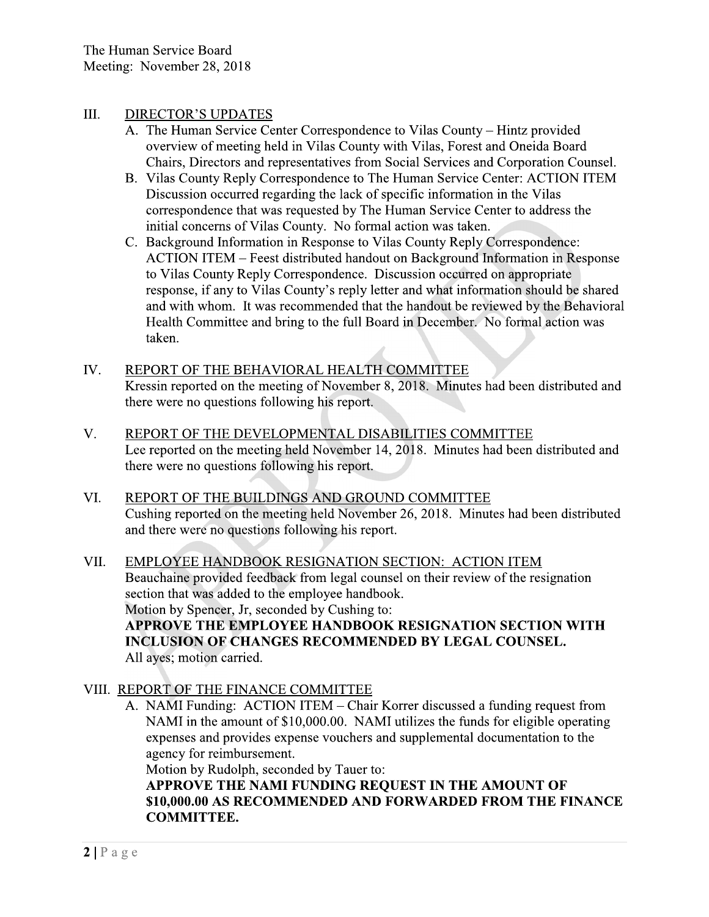#### III. **DIRECTOR'S UPDATES**

- A. The Human Service Center Correspondence to Vilas County Hintz provided overview of meeting held in Vilas County with Vilas, Forest and Oneida Board Chairs, Directors and representatives from Social Services and Corporation Counsel.
- B. Vilas County Reply Correspondence to The Human Service Center: ACTION ITEM Discussion occurred regarding the lack of specific information in the Vilas correspondence that was requested by The Human Service Center to address the initial concerns of Vilas County. No formal action was taken.
- C. Background Information in Response to Vilas County Reply Correspondence: ACTION ITEM – Feest distributed handout on Background Information in Response to Vilas County Reply Correspondence. Discussion occurred on appropriate response, if any to Vilas County's reply letter and what information should be shared and with whom. It was recommended that the handout be reviewed by the Behavioral Health Committee and bring to the full Board in December. No formal action was taken.
- IV. REPORT OF THE BEHAVIORAL HEALTH COMMITTEE Kressin reported on the meeting of November 8, 2018. Minutes had been distributed and there were no questions following his report.
- V. REPORT OF THE DEVELOPMENTAL DISABILITIES COMMITTEE Lee reported on the meeting held November 14, 2018. Minutes had been distributed and there were no questions following his report.
- VI. REPORT OF THE BUILDINGS AND GROUND COMMITTEE Cushing reported on the meeting held November 26, 2018. Minutes had been distributed and there were no questions following his report.
- VII. EMPLOYEE HANDBOOK RESIGNATION SECTION: ACTION ITEM Beauchaine provided feedback from legal counsel on their review of the resignation section that was added to the employee handbook. Motion by Spencer, Jr, seconded by Cushing to: APPROVE THE EMPLOYEE HANDBOOK RESIGNATION SECTION WITH **INCLUSION OF CHANGES RECOMMENDED BY LEGAL COUNSEL.** All ayes; motion carried.
- VIII. REPORT OF THE FINANCE COMMITTEE
	- A. NAMI Funding: ACTION ITEM Chair Korrer discussed a funding request from NAMI in the amount of \$10,000.00. NAMI utilizes the funds for eligible operating expenses and provides expense vouchers and supplemental documentation to the agency for reimbursement.

Motion by Rudolph, seconded by Tauer to:

APPROVE THE NAMI FUNDING REQUEST IN THE AMOUNT OF \$10,000.00 AS RECOMMENDED AND FORWARDED FROM THE FINANCE **COMMITTEE.**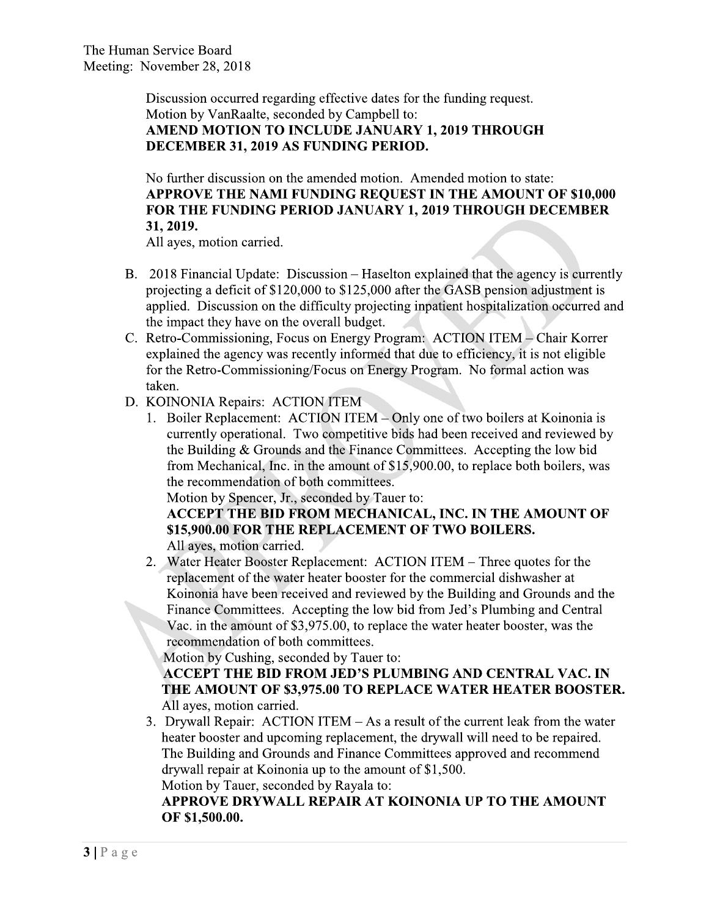Discussion occurred regarding effective dates for the funding request. Motion by VanRaalte, seconded by Campbell to: AMEND MOTION TO INCLUDE JANUARY 1, 2019 THROUGH DECEMBER 31, 2019 AS FUNDING PERIOD.

No further discussion on the amended motion. Amended motion to state: APPROVE THE NAMI FUNDING REQUEST IN THE AMOUNT OF \$10,000 FOR THE FUNDING PERIOD JANUARY 1, 2019 THROUGH DECEMBER 31, 2019.

All ayes, motion carried.

- B. 2018 Financial Update: Discussion Haselton explained that the agency is currently projecting a deficit of \$120,000 to \$125,000 after the GASB pension adjustment is applied. Discussion on the difficulty projecting inpatient hospitalization occurred and the impact they have on the overall budget.
- C. Retro-Commissioning, Focus on Energy Program: ACTION ITEM Chair Korrer explained the agency was recently informed that due to efficiency, it is not eligible for the Retro-Commissioning/Focus on Energy Program. No formal action was taken.
- D. KOINONIA Repairs: ACTION ITEM
	- 1. Boiler Replacement: ACTION ITEM Only one of two boilers at Koinonia is currently operational. Two competitive bids had been received and reviewed by the Building & Grounds and the Finance Committees. Accepting the low bid from Mechanical, Inc. in the amount of \$15,900.00, to replace both boilers, was the recommendation of both committees.

Motion by Spencer, Jr., seconded by Tauer to:

ACCEPT THE BID FROM MECHANICAL, INC. IN THE AMOUNT OF \$15,900.00 FOR THE REPLACEMENT OF TWO BOILERS. All ayes, motion carried.

2. Water Heater Booster Replacement: ACTION ITEM – Three quotes for the replacement of the water heater booster for the commercial dishwasher at Koinonia have been received and reviewed by the Building and Grounds and the Finance Committees. Accepting the low bid from Jed's Plumbing and Central Vac. in the amount of \$3,975.00, to replace the water heater booster, was the recommendation of both committees.

Motion by Cushing, seconded by Tauer to:

ACCEPT THE BID FROM JED'S PLUMBING AND CENTRAL VAC. IN THE AMOUNT OF \$3,975.00 TO REPLACE WATER HEATER BOOSTER. All ayes, motion carried.

3. Drywall Repair: ACTION ITEM – As a result of the current leak from the water heater booster and upcoming replacement, the drywall will need to be repaired. The Building and Grounds and Finance Committees approved and recommend drywall repair at Koinonia up to the amount of \$1,500.

Motion by Tauer, seconded by Rayala to:

## APPROVE DRYWALL REPAIR AT KOINONIA UP TO THE AMOUNT OF \$1,500.00.